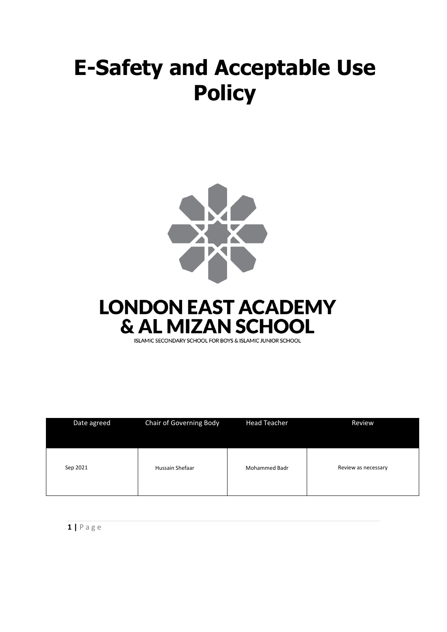# **E-Safety and Acceptable Use Policy**





ISLAMIC SECONDARY SCHOOL FOR BOYS & ISLAMIC JUNIOR SCHOOL

| Date agreed | Chair of Governing Body | <b>Head Teacher</b>  | Review              |
|-------------|-------------------------|----------------------|---------------------|
| Sep 2021    | Hussain Shefaar         | <b>Mohammed Badr</b> | Review as necessary |

**1 |** P a g e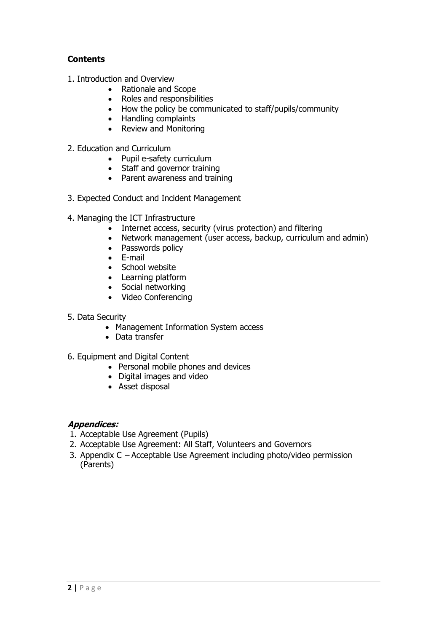## **Contents**

- 1. Introduction and Overview
	- Rationale and Scope
	- Roles and responsibilities
	- How the policy be communicated to staff/pupils/community
	- Handling complaints
	- Review and Monitoring
- 2. Education and Curriculum
	- Pupil e-safety curriculum
	- Staff and governor training
	- Parent awareness and training
- 3. Expected Conduct and Incident Management
- 4. Managing the ICT Infrastructure
	- Internet access, security (virus protection) and filtering
	- Network management (user access, backup, curriculum and admin)
	- Passwords policy
	- E-mail
	- School website
	- Learning platform
	- Social networking
	- Video Conferencing
- 5. Data Security
	- Management Information System access
	- Data transfer
- 6. Equipment and Digital Content
	- Personal mobile phones and devices
	- Digital images and video
	- Asset disposal

#### **Appendices:**

- 1. Acceptable Use Agreement (Pupils)
- 2. Acceptable Use Agreement: All Staff, Volunteers and Governors
- 3. Appendix C Acceptable Use Agreement including photo/video permission (Parents)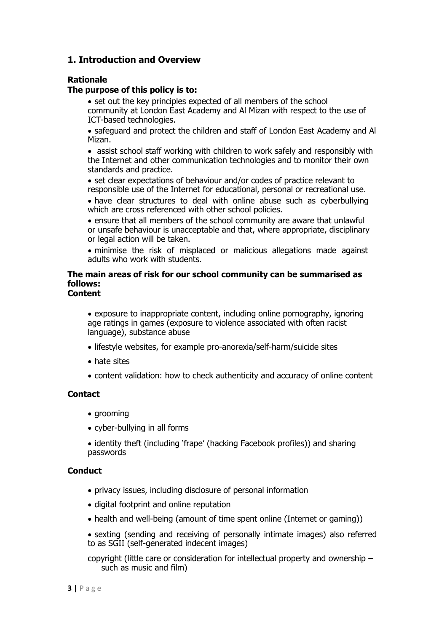## **1. Introduction and Overview**

#### **Rationale**

#### **The purpose of this policy is to:**

• set out the key principles expected of all members of the school community at London East Academy and Al Mizan with respect to the use of ICT-based technologies.

• safeguard and protect the children and staff of London East Academy and Al Mizan.

• assist school staff working with children to work safely and responsibly with the Internet and other communication technologies and to monitor their own standards and practice.

• set clear expectations of behaviour and/or codes of practice relevant to responsible use of the Internet for educational, personal or recreational use.

• have clear structures to deal with online abuse such as cyberbullying which are cross referenced with other school policies.

• ensure that all members of the school community are aware that unlawful or unsafe behaviour is unacceptable and that, where appropriate, disciplinary or legal action will be taken.

• minimise the risk of misplaced or malicious allegations made against adults who work with students.

## **The main areas of risk for our school community can be summarised as follows:**

#### **Content**

• exposure to inappropriate content, including online pornography, ignoring age ratings in games (exposure to violence associated with often racist language), substance abuse

- lifestyle websites, for example pro-anorexia/self-harm/suicide sites
- hate sites
- content validation: how to check authenticity and accuracy of online content

#### **Contact**

- grooming
- cyber-bullying in all forms
- identity theft (including 'frape' (hacking Facebook profiles)) and sharing passwords

#### **Conduct**

- privacy issues, including disclosure of personal information
- digital footprint and online reputation
- health and well-being (amount of time spent online (Internet or gaming))
- sexting (sending and receiving of personally intimate images) also referred to as SGII (self-generated indecent images)

copyright (little care or consideration for intellectual property and ownership – such as music and film)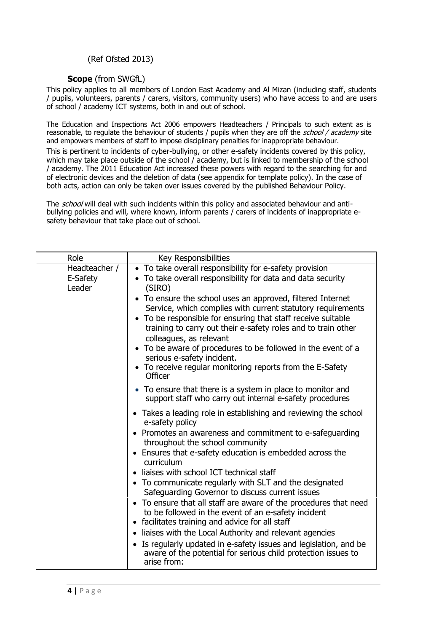#### (Ref Ofsted 2013)

#### **Scope** (from SWGfL)

This policy applies to all members of London East Academy and Al Mizan (including staff, students / pupils, volunteers, parents / carers, visitors, community users) who have access to and are users of school / academy ICT systems, both in and out of school.

The Education and Inspections Act 2006 empowers Headteachers / Principals to such extent as is reasonable, to regulate the behaviour of students / pupils when they are off the school / academy site and empowers members of staff to impose disciplinary penalties for inappropriate behaviour.

This is pertinent to incidents of cyber-bullying, or other e-safety incidents covered by this policy, which may take place outside of the school / academy, but is linked to membership of the school / academy. The 2011 Education Act increased these powers with regard to the searching for and of electronic devices and the deletion of data (see appendix for template policy). In the case of both acts, action can only be taken over issues covered by the published Behaviour Policy.

The school will deal with such incidents within this policy and associated behaviour and antibullying policies and will, where known, inform parents / carers of incidents of inappropriate esafety behaviour that take place out of school.

| Role                                | Key Responsibilities                                                                                                                                                                                                    |  |
|-------------------------------------|-------------------------------------------------------------------------------------------------------------------------------------------------------------------------------------------------------------------------|--|
| Headteacher /<br>E-Safety<br>Leader | • To take overall responsibility for e-safety provision<br>• To take overall responsibility for data and data security<br>(SIRO)<br>• To ensure the school uses an approved, filtered Internet                          |  |
|                                     | Service, which complies with current statutory requirements<br>• To be responsible for ensuring that staff receive suitable<br>training to carry out their e-safety roles and to train other<br>colleagues, as relevant |  |
|                                     | • To be aware of procedures to be followed in the event of a<br>serious e-safety incident.<br>• To receive regular monitoring reports from the E-Safety<br>Officer                                                      |  |
|                                     | • To ensure that there is a system in place to monitor and<br>support staff who carry out internal e-safety procedures                                                                                                  |  |
|                                     | • Takes a leading role in establishing and reviewing the school<br>e-safety policy                                                                                                                                      |  |
|                                     | • Promotes an awareness and commitment to e-safeguarding<br>throughout the school community                                                                                                                             |  |
|                                     | • Ensures that e-safety education is embedded across the<br>curriculum                                                                                                                                                  |  |
|                                     | liaises with school ICT technical staff<br>$\bullet$<br>• To communicate regularly with SLT and the designated<br>Safeguarding Governor to discuss current issues                                                       |  |
|                                     | • To ensure that all staff are aware of the procedures that need<br>to be followed in the event of an e-safety incident<br>• facilitates training and advice for all staff                                              |  |
|                                     | • liaises with the Local Authority and relevant agencies                                                                                                                                                                |  |
|                                     | Is regularly updated in e-safety issues and legislation, and be<br>$\bullet$<br>aware of the potential for serious child protection issues to<br>arise from:                                                            |  |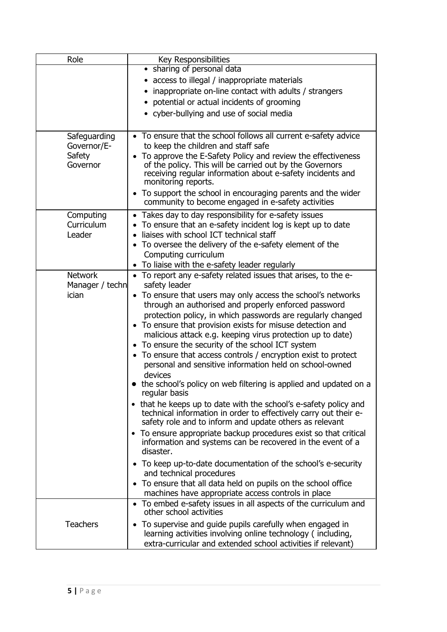| Role                                              | Key Responsibilities                                                                                                                                                                                                                                                                                                                                                                                                                                                                                                                                                                                                                                                                                                                                                                                                                                                                                                                                                                                                                                                                                                                                                                                 |  |
|---------------------------------------------------|------------------------------------------------------------------------------------------------------------------------------------------------------------------------------------------------------------------------------------------------------------------------------------------------------------------------------------------------------------------------------------------------------------------------------------------------------------------------------------------------------------------------------------------------------------------------------------------------------------------------------------------------------------------------------------------------------------------------------------------------------------------------------------------------------------------------------------------------------------------------------------------------------------------------------------------------------------------------------------------------------------------------------------------------------------------------------------------------------------------------------------------------------------------------------------------------------|--|
|                                                   | • sharing of personal data<br>• access to illegal / inappropriate materials<br>inappropriate on-line contact with adults / strangers                                                                                                                                                                                                                                                                                                                                                                                                                                                                                                                                                                                                                                                                                                                                                                                                                                                                                                                                                                                                                                                                 |  |
|                                                   | • potential or actual incidents of grooming<br>• cyber-bullying and use of social media                                                                                                                                                                                                                                                                                                                                                                                                                                                                                                                                                                                                                                                                                                                                                                                                                                                                                                                                                                                                                                                                                                              |  |
| Safeguarding<br>Governor/E-<br>Safety<br>Governor | • To ensure that the school follows all current e-safety advice<br>to keep the children and staff safe<br>To approve the E-Safety Policy and review the effectiveness<br>of the policy. This will be carried out by the Governors<br>receiving regular information about e-safety incidents and<br>monitoring reports.<br>• To support the school in encouraging parents and the wider<br>community to become engaged in e-safety activities                                                                                                                                                                                                                                                                                                                                                                                                                                                                                                                                                                                                                                                                                                                                                         |  |
| Computing<br>Curriculum<br>Leader                 | • Takes day to day responsibility for e-safety issues<br>To ensure that an e-safety incident log is kept up to date<br>$\bullet$<br>liaises with school ICT technical staff<br>• To oversee the delivery of the e-safety element of the<br>Computing curriculum<br>To liaise with the e-safety leader regularly<br>$\bullet$                                                                                                                                                                                                                                                                                                                                                                                                                                                                                                                                                                                                                                                                                                                                                                                                                                                                         |  |
| <b>Network</b><br>Manager / techn<br><i>ician</i> | • To report any e-safety related issues that arises, to the e-<br>safety leader<br>• To ensure that users may only access the school's networks<br>through an authorised and properly enforced password<br>protection policy, in which passwords are regularly changed<br>• To ensure that provision exists for misuse detection and<br>malicious attack e.g. keeping virus protection up to date)<br>To ensure the security of the school ICT system<br>• To ensure that access controls / encryption exist to protect<br>personal and sensitive information held on school-owned<br>devices<br>• the school's policy on web filtering is applied and updated on a<br>regular basis<br>• that he keeps up to date with the school's e-safety policy and<br>technical information in order to effectively carry out their e-<br>safety role and to inform and update others as relevant<br>• To ensure appropriate backup procedures exist so that critical<br>information and systems can be recovered in the event of a<br>disaster.<br>• To keep up-to-date documentation of the school's e-security<br>and technical procedures<br>• To ensure that all data held on pupils on the school office |  |
| <b>Teachers</b>                                   | machines have appropriate access controls in place<br>To embed e-safety issues in all aspects of the curriculum and<br>$\bullet$<br>other school activities<br>To supervise and guide pupils carefully when engaged in<br>$\bullet$<br>learning activities involving online technology (including,<br>extra-curricular and extended school activities if relevant)                                                                                                                                                                                                                                                                                                                                                                                                                                                                                                                                                                                                                                                                                                                                                                                                                                   |  |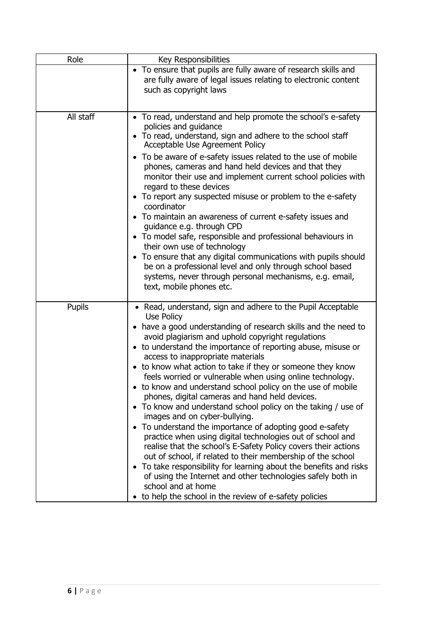| Role          | Key Responsibilities                                                                                                                                                                                                                                                                                                                                                                                                                                                                                                                                                                                                                                                                                                                                                                                                                                                                                                                                                                                                                                                                                                                                            |
|---------------|-----------------------------------------------------------------------------------------------------------------------------------------------------------------------------------------------------------------------------------------------------------------------------------------------------------------------------------------------------------------------------------------------------------------------------------------------------------------------------------------------------------------------------------------------------------------------------------------------------------------------------------------------------------------------------------------------------------------------------------------------------------------------------------------------------------------------------------------------------------------------------------------------------------------------------------------------------------------------------------------------------------------------------------------------------------------------------------------------------------------------------------------------------------------|
|               | • To ensure that pupils are fully aware of research skills and<br>are fully aware of legal issues relating to electronic content<br>such as copyright laws                                                                                                                                                                                                                                                                                                                                                                                                                                                                                                                                                                                                                                                                                                                                                                                                                                                                                                                                                                                                      |
| All staff     | • To read, understand and help promote the school's e-safety<br>policies and guidance<br>• To read, understand, sign and adhere to the school staff<br>Acceptable Use Agreement Policy<br>To be aware of e-safety issues related to the use of mobile<br>$\bullet$<br>phones, cameras and hand held devices and that they<br>monitor their use and implement current school policies with<br>regard to these devices<br>• To report any suspected misuse or problem to the e-safety<br>coordinator<br>• To maintain an awareness of current e-safety issues and<br>guidance e.g. through CPD<br>• To model safe, responsible and professional behaviours in<br>their own use of technology<br>• To ensure that any digital communications with pupils should<br>be on a professional level and only through school based<br>systems, never through personal mechanisms, e.g. email,<br>text, mobile phones etc.                                                                                                                                                                                                                                                 |
| <b>Pupils</b> | • Read, understand, sign and adhere to the Pupil Acceptable<br>Use Policy<br>have a good understanding of research skills and the need to<br>$\bullet$<br>avoid plagiarism and uphold copyright regulations<br>• to understand the importance of reporting abuse, misuse or<br>access to inappropriate materials<br>• to know what action to take if they or someone they know<br>feels worried or vulnerable when using online technology.<br>to know and understand school policy on the use of mobile<br>phones, digital cameras and hand held devices.<br>To know and understand school policy on the taking / use of<br>$\bullet$<br>images and on cyber-bullying.<br>To understand the importance of adopting good e-safety<br>$\bullet$<br>practice when using digital technologies out of school and<br>realise that the school's E-Safety Policy covers their actions<br>out of school, if related to their membership of the school<br>To take responsibility for learning about the benefits and risks<br>of using the Internet and other technologies safely both in<br>school and at home<br>to help the school in the review of e-safety policies |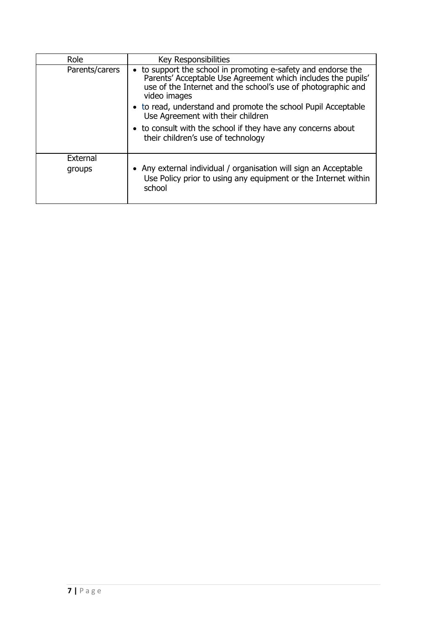| Role           | Key Responsibilities                                                                                                                                                                                          |  |
|----------------|---------------------------------------------------------------------------------------------------------------------------------------------------------------------------------------------------------------|--|
| Parents/carers | • to support the school in promoting e-safety and endorse the<br>Parents' Acceptable Use Agreement which includes the pupils'<br>use of the Internet and the school's use of photographic and<br>video images |  |
|                | • to read, understand and promote the school Pupil Acceptable<br>Use Agreement with their children                                                                                                            |  |
|                | • to consult with the school if they have any concerns about<br>their children's use of technology                                                                                                            |  |
| External       |                                                                                                                                                                                                               |  |
| groups         | • Any external individual / organisation will sign an Acceptable<br>Use Policy prior to using any equipment or the Internet within<br>school                                                                  |  |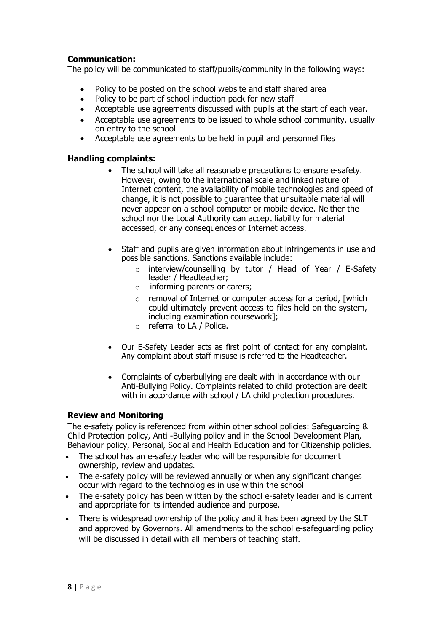#### **Communication:**

The policy will be communicated to staff/pupils/community in the following ways:

- Policy to be posted on the school website and staff shared area
- Policy to be part of school induction pack for new staff
- Acceptable use agreements discussed with pupils at the start of each year.
- Acceptable use agreements to be issued to whole school community, usually on entry to the school
- Acceptable use agreements to be held in pupil and personnel files

#### **Handling complaints:**

- The school will take all reasonable precautions to ensure e-safety. However, owing to the international scale and linked nature of Internet content, the availability of mobile technologies and speed of change, it is not possible to guarantee that unsuitable material will never appear on a school computer or mobile device. Neither the school nor the Local Authority can accept liability for material accessed, or any consequences of Internet access.
- Staff and pupils are given information about infringements in use and possible sanctions. Sanctions available include:
	- o interview/counselling by tutor / Head of Year / E-Safety leader / Headteacher:
	- o informing parents or carers;
	- $\circ$  removal of Internet or computer access for a period, [which could ultimately prevent access to files held on the system, including examination coursework];
	- o referral to LA / Police.
- Our E-Safety Leader acts as first point of contact for any complaint. Any complaint about staff misuse is referred to the Headteacher.
- Complaints of cyberbullying are dealt with in accordance with our Anti-Bullying Policy. Complaints related to child protection are dealt with in accordance with school / LA child protection procedures.

#### **Review and Monitoring**

The e-safety policy is referenced from within other school policies: Safeguarding & Child Protection policy, Anti -Bullying policy and in the School Development Plan, Behaviour policy, Personal, Social and Health Education and for Citizenship policies.

- The school has an e-safety leader who will be responsible for document ownership, review and updates.
- The e-safety policy will be reviewed annually or when any significant changes occur with regard to the technologies in use within the school
- The e-safety policy has been written by the school e-safety leader and is current and appropriate for its intended audience and purpose.
- There is widespread ownership of the policy and it has been agreed by the SLT and approved by Governors. All amendments to the school e-safeguarding policy will be discussed in detail with all members of teaching staff.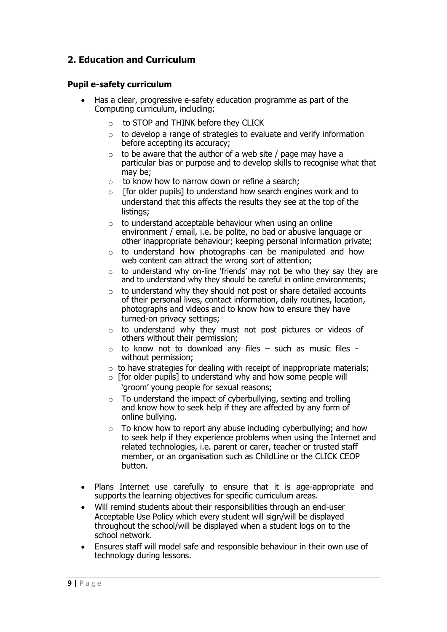# **2. Education and Curriculum**

#### **Pupil e-safety curriculum**

- Has a clear, progressive e-safety education programme as part of the Computing curriculum, including:
	- o to STOP and THINK before they CLICK
	- $\circ$  to develop a range of strategies to evaluate and verify information before accepting its accuracy;
	- $\circ$  to be aware that the author of a web site / page may have a particular bias or purpose and to develop skills to recognise what that may be;
	- o to know how to narrow down or refine a search;
	- $\circ$  [for older pupils] to understand how search engines work and to understand that this affects the results they see at the top of the listings:
	- $\circ$  to understand acceptable behaviour when using an online environment / email, i.e. be polite, no bad or abusive language or other inappropriate behaviour; keeping personal information private;
	- $\circ$  to understand how photographs can be manipulated and how web content can attract the wrong sort of attention;
	- $\circ$  to understand why on-line 'friends' may not be who they say they are and to understand why they should be careful in online environments;
	- $\circ$  to understand why they should not post or share detailed accounts of their personal lives, contact information, daily routines, location, photographs and videos and to know how to ensure they have turned-on privacy settings;
	- o to understand why they must not post pictures or videos of others without their permission;
	- $\circ$  to know not to download any files such as music files without permission;
	- $\circ$  to have strategies for dealing with receipt of inappropriate materials;
	- $\circ$  [for older pupils] to understand why and how some people will 'groom' young people for sexual reasons;
	- $\circ$  To understand the impact of cyberbullying, sexting and trolling and know how to seek help if they are affected by any form of online bullying.
	- $\circ$  To know how to report any abuse including cyberbullying; and how to seek help if they experience problems when using the Internet and related technologies, i.e. parent or carer, teacher or trusted staff member, or an organisation such as ChildLine or the CLICK CEOP button.
- Plans Internet use carefully to ensure that it is age-appropriate and supports the learning objectives for specific curriculum areas.
- Will remind students about their responsibilities through an end-user Acceptable Use Policy which every student will sign/will be displayed throughout the school/will be displayed when a student logs on to the school network.
- Ensures staff will model safe and responsible behaviour in their own use of technology during lessons.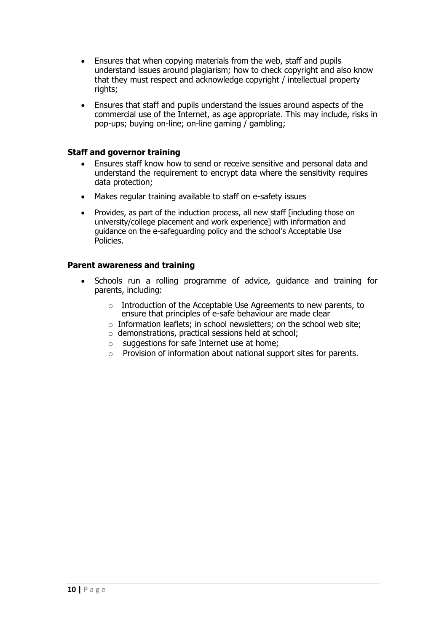- Ensures that when copying materials from the web, staff and pupils understand issues around plagiarism; how to check copyright and also know that they must respect and acknowledge copyright / intellectual property rights;
- Ensures that staff and pupils understand the issues around aspects of the commercial use of the Internet, as age appropriate. This may include, risks in pop-ups; buying on-line; on-line gaming / gambling;

#### **Staff and governor training**

- Ensures staff know how to send or receive sensitive and personal data and understand the requirement to encrypt data where the sensitivity requires data protection;
- Makes regular training available to staff on e-safety issues
- Provides, as part of the induction process, all new staff [including those on university/college placement and work experience] with information and guidance on the e-safeguarding policy and the school's Acceptable Use Policies.

#### **Parent awareness and training**

- Schools run a rolling programme of advice, guidance and training for parents, including:
	- o Introduction of the Acceptable Use Agreements to new parents, to ensure that principles of e-safe behaviour are made clear
	- o Information leaflets; in school newsletters; on the school web site;
	- o demonstrations, practical sessions held at school;
	- $\circ$  suggestions for safe Internet use at home:
	- o Provision of information about national support sites for parents.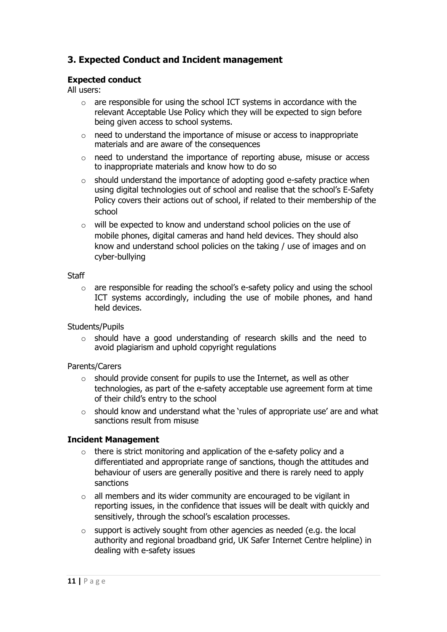# **3. Expected Conduct and Incident management**

#### **Expected conduct**

All users:

- o are responsible for using the school ICT systems in accordance with the relevant Acceptable Use Policy which they will be expected to sign before being given access to school systems.
- o need to understand the importance of misuse or access to inappropriate materials and are aware of the consequences
- o need to understand the importance of reporting abuse, misuse or access to inappropriate materials and know how to do so
- o should understand the importance of adopting good e-safety practice when using digital technologies out of school and realise that the school's E-Safety Policy covers their actions out of school, if related to their membership of the school
- o will be expected to know and understand school policies on the use of mobile phones, digital cameras and hand held devices. They should also know and understand school policies on the taking / use of images and on cyber-bullying

#### **Staff**

 $\circ$  are responsible for reading the school's e-safety policy and using the school ICT systems accordingly, including the use of mobile phones, and hand held devices.

#### Students/Pupils

o should have a good understanding of research skills and the need to avoid plagiarism and uphold copyright regulations

#### Parents/Carers

- $\circ$  should provide consent for pupils to use the Internet, as well as other technologies, as part of the e-safety acceptable use agreement form at time of their child's entry to the school
- $\circ$  should know and understand what the 'rules of appropriate use' are and what sanctions result from misuse

#### **Incident Management**

- o there is strict monitoring and application of the e-safety policy and a differentiated and appropriate range of sanctions, though the attitudes and behaviour of users are generally positive and there is rarely need to apply sanctions
- $\circ$  all members and its wider community are encouraged to be vigilant in reporting issues, in the confidence that issues will be dealt with quickly and sensitively, through the school's escalation processes.
- $\circ$  support is actively sought from other agencies as needed (e.g. the local authority and regional broadband grid, UK Safer Internet Centre helpline) in dealing with e-safety issues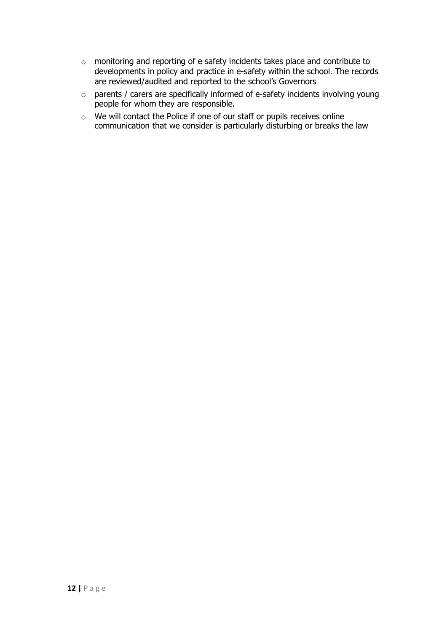- o monitoring and reporting of e safety incidents takes place and contribute to developments in policy and practice in e-safety within the school. The records are reviewed/audited and reported to the school's Governors
- o parents / carers are specifically informed of e-safety incidents involving young people for whom they are responsible.
- o We will contact the Police if one of our staff or pupils receives online communication that we consider is particularly disturbing or breaks the law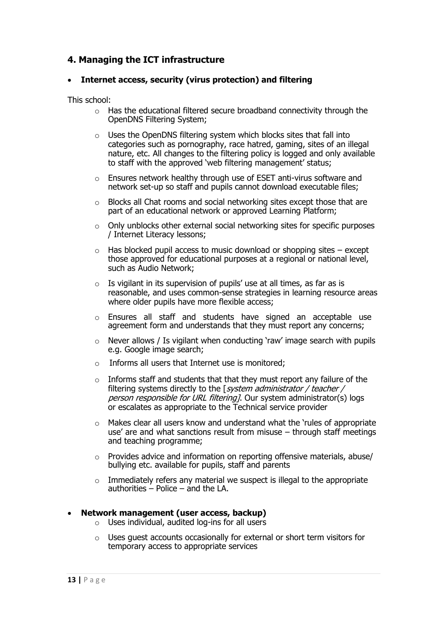# **4. Managing the ICT infrastructure**

#### • **Internet access, security (virus protection) and filtering**

This school:

- o Has the educational filtered secure broadband connectivity through the OpenDNS Filtering System;
- o Uses the OpenDNS filtering system which blocks sites that fall into categories such as pornography, race hatred, gaming, sites of an illegal nature, etc. All changes to the filtering policy is logged and only available to staff with the approved 'web filtering management' status;
- o Ensures network healthy through use of ESET anti-virus software and network set-up so staff and pupils cannot download executable files;
- o Blocks all Chat rooms and social networking sites except those that are part of an educational network or approved Learning Platform;
- $\circ$  Only unblocks other external social networking sites for specific purposes / Internet Literacy lessons;
- $\circ$  Has blocked pupil access to music download or shopping sites except those approved for educational purposes at a regional or national level, such as Audio Network;
- $\circ$  Is vigilant in its supervision of pupils' use at all times, as far as is reasonable, and uses common-sense strategies in learning resource areas where older pupils have more flexible access;
- $\circ$  Ensures all staff and students have signed an acceptable use agreement form and understands that they must report any concerns;
- $\circ$  Never allows / Is vigilant when conducting 'raw' image search with pupils e.g. Google image search;
- o Informs all users that Internet use is monitored;
- $\circ$  Informs staff and students that that they must report any failure of the filtering systems directly to the [system administrator / teacher / person responsible for URL filtering]. Our system administrator(s) logs or escalates as appropriate to the Technical service provider
- o Makes clear all users know and understand what the 'rules of appropriate use' are and what sanctions result from misuse – through staff meetings and teaching programme;
- o Provides advice and information on reporting offensive materials, abuse/ bullying etc. available for pupils, staff and parents
- o Immediately refers any material we suspect is illegal to the appropriate authorities – Police – and the LA.

#### • **Network management (user access, backup)**

- $\circ$  Uses individual, audited log-ins for all users
- $\circ$  Uses quest accounts occasionally for external or short term visitors for temporary access to appropriate services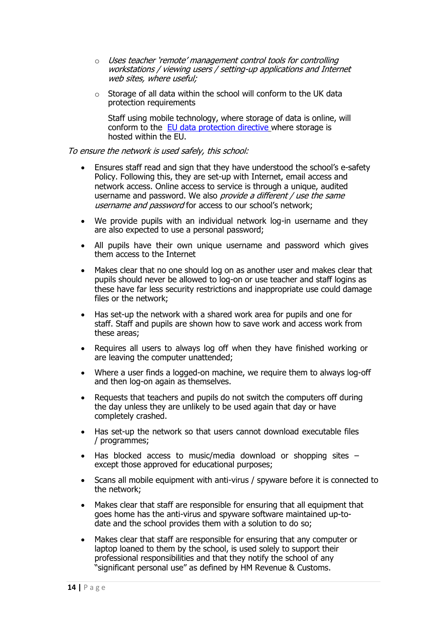- o Uses teacher 'remote' management control tools for controlling workstations / viewing users / setting-up applications and Internet web sites, where useful;
- $\circ$  Storage of all data within the school will conform to the UK data protection requirements

Staff using mobile technology, where storage of data is online, will conform to the [EU data protection directive](http://en.wikipedia.org/wiki/Data_Protection_Directive) where storage is hosted within the EU.

#### To ensure the network is used safely, this school:

- Ensures staff read and sign that they have understood the school's e-safety Policy. Following this, they are set-up with Internet, email access and network access. Online access to service is through a unique, audited username and password. We also *provide a different / use the same* username and password for access to our school's network;
- We provide pupils with an individual network log-in username and they are also expected to use a personal password;
- All pupils have their own unique username and password which gives them access to the Internet
- Makes clear that no one should log on as another user and makes clear that pupils should never be allowed to log-on or use teacher and staff logins as these have far less security restrictions and inappropriate use could damage files or the network;
- Has set-up the network with a shared work area for pupils and one for staff. Staff and pupils are shown how to save work and access work from these areas;
- Requires all users to always log off when they have finished working or are leaving the computer unattended;
- Where a user finds a logged-on machine, we require them to always log-off and then log-on again as themselves.
- Requests that teachers and pupils do not switch the computers off during the day unless they are unlikely to be used again that day or have completely crashed.
- Has set-up the network so that users cannot download executable files / programmes;
- Has blocked access to music/media download or shopping sites except those approved for educational purposes;
- Scans all mobile equipment with anti-virus / spyware before it is connected to the network;
- Makes clear that staff are responsible for ensuring that all equipment that goes home has the anti-virus and spyware software maintained up-todate and the school provides them with a solution to do so;
- Makes clear that staff are responsible for ensuring that any computer or laptop loaned to them by the school, is used solely to support their professional responsibilities and that they notify the school of any "significant personal use" as defined by HM Revenue & Customs.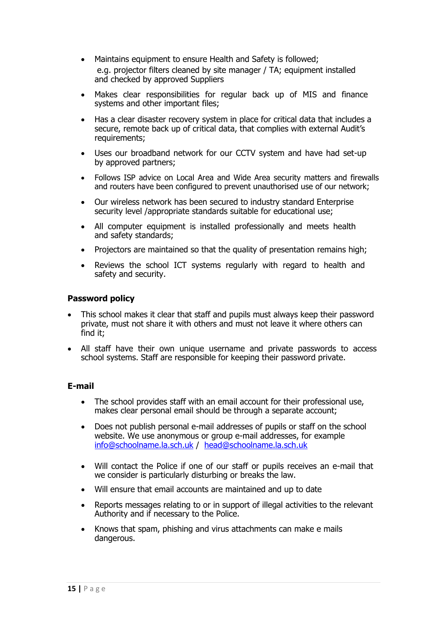- Maintains equipment to ensure Health and Safety is followed; e.g. projector filters cleaned by site manager / TA; equipment installed and checked by approved Suppliers
- Makes clear responsibilities for regular back up of MIS and finance systems and other important files;
- Has a clear disaster recovery system in place for critical data that includes a secure, remote back up of critical data, that complies with external Audit's requirements;
- Uses our broadband network for our CCTV system and have had set-up by approved partners;
- Follows ISP advice on Local Area and Wide Area security matters and firewalls and routers have been configured to prevent unauthorised use of our network;
- Our wireless network has been secured to industry standard Enterprise security level /appropriate standards suitable for educational use;
- All computer equipment is installed professionally and meets health and safety standards;
- Projectors are maintained so that the quality of presentation remains high;
- Reviews the school ICT systems regularly with regard to health and safety and security.

#### **Password policy**

- This school makes it clear that staff and pupils must always keep their password private, must not share it with others and must not leave it where others can find it;
- All staff have their own unique username and private passwords to access school systems. Staff are responsible for keeping their password private.

#### **E-mail**

- The school provides staff with an email account for their professional use, makes clear personal email should be through a separate account;
- Does not publish personal e-mail addresses of pupils or staff on the school website. We use anonymous or group e-mail addresses, for example [info@schoolname.la.sch.uk](mailto:info@schoolname.la.sch.uk) / [head@schoolname.la.sch.uk](mailto:head@schoolname.la.sch.uk)
- Will contact the Police if one of our staff or pupils receives an e-mail that we consider is particularly disturbing or breaks the law.
- Will ensure that email accounts are maintained and up to date
- Reports messages relating to or in support of illegal activities to the relevant Authority and if necessary to the Police.
- Knows that spam, phishing and virus attachments can make e mails dangerous.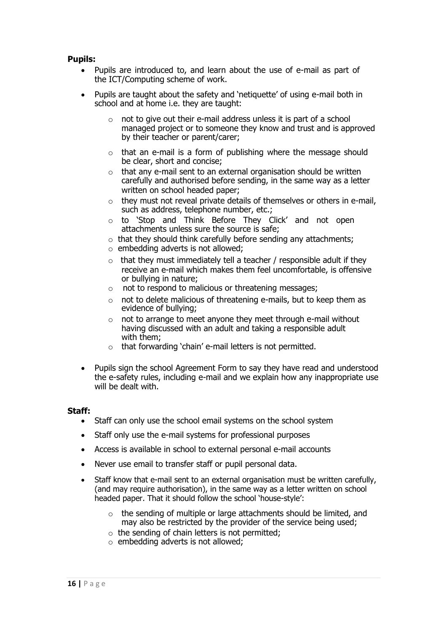#### **Pupils:**

- Pupils are introduced to, and learn about the use of e-mail as part of the ICT/Computing scheme of work.
- Pupils are taught about the safety and 'netiquette' of using e-mail both in school and at home i.e. they are taught:
	- o not to give out their e-mail address unless it is part of a school managed project or to someone they know and trust and is approved by their teacher or parent/carer;
	- $\circ$  that an e-mail is a form of publishing where the message should be clear, short and concise;
	- $\circ$  that any e-mail sent to an external organisation should be written carefully and authorised before sending, in the same way as a letter written on school headed paper;
	- $\circ$  they must not reveal private details of themselves or others in e-mail, such as address, telephone number, etc.;
	- o to 'Stop and Think Before They Click' and not open attachments unless sure the source is safe;
	- $\circ$  that they should think carefully before sending any attachments;
	- $\circ$  embedding adverts is not allowed;
	- $\circ$  that they must immediately tell a teacher / responsible adult if they receive an e-mail which makes them feel uncomfortable, is offensive or bullying in nature;
	- o not to respond to malicious or threatening messages;
	- o not to delete malicious of threatening e-mails, but to keep them as evidence of bullying;
	- $\circ$  not to arrange to meet anyone they meet through e-mail without having discussed with an adult and taking a responsible adult with them;
	- o that forwarding 'chain' e-mail letters is not permitted.
- Pupils sign the school Agreement Form to say they have read and understood the e-safety rules, including e-mail and we explain how any inappropriate use will be dealt with.

#### **Staff:**

- Staff can only use the school email systems on the school system
- Staff only use the e-mail systems for professional purposes
- Access is available in school to external personal e-mail accounts
- Never use email to transfer staff or pupil personal data.
- Staff know that e-mail sent to an external organisation must be written carefully, (and may require authorisation), in the same way as a letter written on school headed paper. That it should follow the school 'house-style':
	- $\circ$  the sending of multiple or large attachments should be limited, and may also be restricted by the provider of the service being used;
	- o the sending of chain letters is not permitted;
	- $\circ$  embedding adverts is not allowed;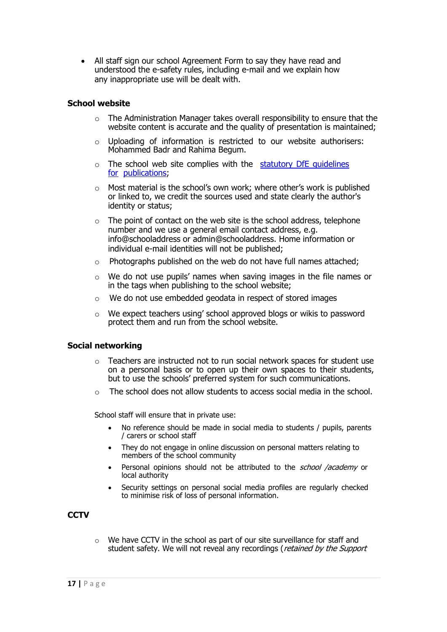• All staff sign our school Agreement Form to say they have read and understood the e-safety rules, including e-mail and we explain how any inappropriate use will be dealt with.

#### **School website**

- $\circ$  The Administration Manager takes overall responsibility to ensure that the website content is accurate and the quality of presentation is maintained;
- $\circ$  Uploading of information is restricted to our website authorisers: Mohammed Badr and Rahima Begum.
- $\circ$  The school web site complies with the statutory DfE quidelines [for](http://www.education.gov.uk/aboutdfe/advice/f00215241/school-information) [publications](http://www.education.gov.uk/aboutdfe/advice/f00215241/school-information);
- o Most material is the school's own work; where other's work is published or linked to, we credit the sources used and state clearly the author's identity or status;
- $\circ$  The point of contact on the web site is the school address, telephone number and we use a general email contact address, e.g. info@schooladdress or admin@schooladdress. Home information or individual e-mail identities will not be published;
- $\circ$  Photographs published on the web do not have full names attached:
- o We do not use pupils' names when saving images in the file names or in the tags when publishing to the school website;
- o We do not use embedded geodata in respect of stored images
- $\circ$  We expect teachers using' school approved blogs or wikis to password protect them and run from the school website.

#### **Social networking**

- o Teachers are instructed not to run social network spaces for student use on a personal basis or to open up their own spaces to their students, but to use the schools' preferred system for such communications.
- o The school does not allow students to access social media in the school.

School staff will ensure that in private use:

- No reference should be made in social media to students / pupils, parents / carers or school staff
- They do not engage in online discussion on personal matters relating to members of the school community
- Personal opinions should not be attributed to the *school /academy* or local authority
- Security settings on personal social media profiles are regularly checked to minimise risk of loss of personal information.

#### **CCTV**

o We have CCTV in the school as part of our site surveillance for staff and student safety. We will not reveal any recordings (retained by the Support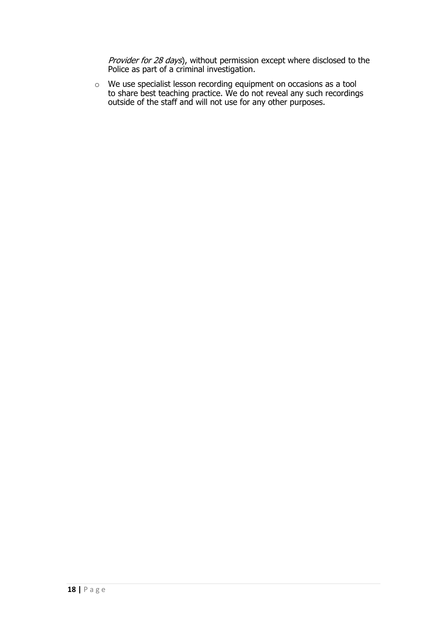Provider for 28 days), without permission except where disclosed to the Police as part of a criminal investigation.

 $\circ$  We use specialist lesson recording equipment on occasions as a tool to share best teaching practice. We do not reveal any such recordings outside of the staff and will not use for any other purposes.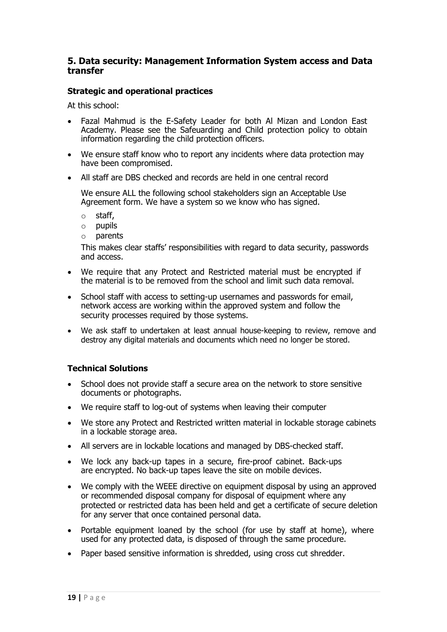#### **5. Data security: Management Information System access and Data transfer**

#### **Strategic and operational practices**

At this school:

- Fazal Mahmud is the E-Safety Leader for both Al Mizan and London East Academy. Please see the Safeuarding and Child protection policy to obtain information regarding the child protection officers.
- We ensure staff know who to report any incidents where data protection may have been compromised.
- All staff are DBS checked and records are held in one central record

We ensure ALL the following school stakeholders sign an Acceptable Use Agreement form. We have a system so we know who has signed.

- o staff,
- o pupils
- o parents

This makes clear staffs' responsibilities with regard to data security, passwords and access.

- We require that any Protect and Restricted material must be encrypted if the material is to be removed from the school and limit such data removal.
- School staff with access to setting-up usernames and passwords for email, network access are working within the approved system and follow the security processes required by those systems.
- We ask staff to undertaken at least annual house-keeping to review, remove and destroy any digital materials and documents which need no longer be stored.

#### **Technical Solutions**

- School does not provide staff a secure area on the network to store sensitive documents or photographs.
- We require staff to log-out of systems when leaving their computer
- We store any Protect and Restricted written material in lockable storage cabinets in a lockable storage area.
- All servers are in lockable locations and managed by DBS-checked staff.
- We lock any back-up tapes in a secure, fire-proof cabinet. Back-ups are encrypted. No back-up tapes leave the site on mobile devices.
- We comply with the WEEE directive on equipment disposal by using an approved or recommended disposal company for disposal of equipment where any protected or restricted data has been held and get a certificate of secure deletion for any server that once contained personal data.
- Portable equipment loaned by the school (for use by staff at home), where used for any protected data, is disposed of through the same procedure.
- Paper based sensitive information is shredded, using cross cut shredder.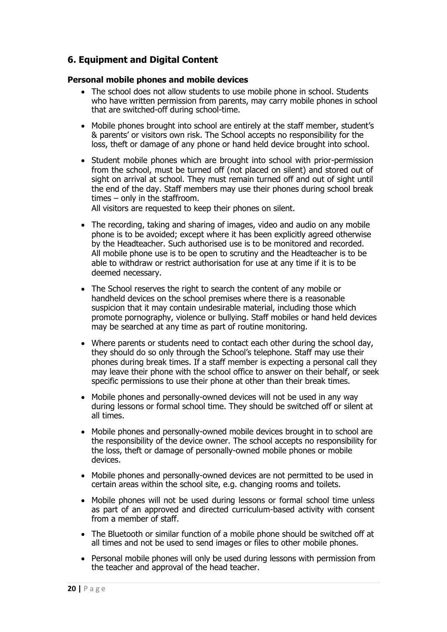# **6. Equipment and Digital Content**

#### **Personal mobile phones and mobile devices**

- The school does not allow students to use mobile phone in school. Students who have written permission from parents, may carry mobile phones in school that are switched-off during school-time.
- Mobile phones brought into school are entirely at the staff member, student's & parents' or visitors own risk. The School accepts no responsibility for the loss, theft or damage of any phone or hand held device brought into school.
- Student mobile phones which are brought into school with prior-permission from the school, must be turned off (not placed on silent) and stored out of sight on arrival at school. They must remain turned off and out of sight until the end of the day. Staff members may use their phones during school break times – only in the staffroom.

All visitors are requested to keep their phones on silent.

- The recording, taking and sharing of images, video and audio on any mobile phone is to be avoided; except where it has been explicitly agreed otherwise by the Headteacher. Such authorised use is to be monitored and recorded. All mobile phone use is to be open to scrutiny and the Headteacher is to be able to withdraw or restrict authorisation for use at any time if it is to be deemed necessary.
- The School reserves the right to search the content of any mobile or handheld devices on the school premises where there is a reasonable suspicion that it may contain undesirable material, including those which promote pornography, violence or bullying. Staff mobiles or hand held devices may be searched at any time as part of routine monitoring.
- Where parents or students need to contact each other during the school day, they should do so only through the School's telephone. Staff may use their phones during break times. If a staff member is expecting a personal call they may leave their phone with the school office to answer on their behalf, or seek specific permissions to use their phone at other than their break times.
- Mobile phones and personally-owned devices will not be used in any way during lessons or formal school time. They should be switched off or silent at all times.
- Mobile phones and personally-owned mobile devices brought in to school are the responsibility of the device owner. The school accepts no responsibility for the loss, theft or damage of personally-owned mobile phones or mobile devices.
- Mobile phones and personally-owned devices are not permitted to be used in certain areas within the school site, e.g. changing rooms and toilets.
- Mobile phones will not be used during lessons or formal school time unless as part of an approved and directed curriculum-based activity with consent from a member of staff.
- The Bluetooth or similar function of a mobile phone should be switched off at all times and not be used to send images or files to other mobile phones.
- Personal mobile phones will only be used during lessons with permission from the teacher and approval of the head teacher.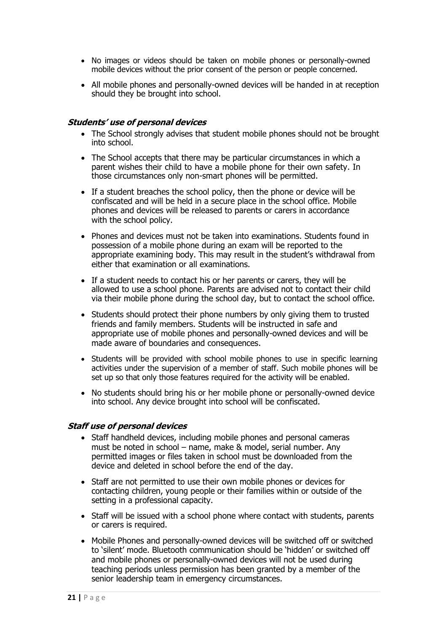- No images or videos should be taken on mobile phones or personally-owned mobile devices without the prior consent of the person or people concerned.
- All mobile phones and personally-owned devices will be handed in at reception should they be brought into school.

#### **Students' use of personal devices**

- The School strongly advises that student mobile phones should not be brought into school.
- The School accepts that there may be particular circumstances in which a parent wishes their child to have a mobile phone for their own safety. In those circumstances only non-smart phones will be permitted.
- If a student breaches the school policy, then the phone or device will be confiscated and will be held in a secure place in the school office. Mobile phones and devices will be released to parents or carers in accordance with the school policy.
- Phones and devices must not be taken into examinations. Students found in possession of a mobile phone during an exam will be reported to the appropriate examining body. This may result in the student's withdrawal from either that examination or all examinations.
- If a student needs to contact his or her parents or carers, they will be allowed to use a school phone. Parents are advised not to contact their child via their mobile phone during the school day, but to contact the school office.
- Students should protect their phone numbers by only giving them to trusted friends and family members. Students will be instructed in safe and appropriate use of mobile phones and personally-owned devices and will be made aware of boundaries and consequences.
- Students will be provided with school mobile phones to use in specific learning activities under the supervision of a member of staff. Such mobile phones will be set up so that only those features required for the activity will be enabled.
- No students should bring his or her mobile phone or personally-owned device into school. Any device brought into school will be confiscated.

#### **Staff use of personal devices**

- Staff handheld devices, including mobile phones and personal cameras must be noted in school – name, make & model, serial number. Any permitted images or files taken in school must be downloaded from the device and deleted in school before the end of the day.
- Staff are not permitted to use their own mobile phones or devices for contacting children, young people or their families within or outside of the setting in a professional capacity.
- Staff will be issued with a school phone where contact with students, parents or carers is required.
- Mobile Phones and personally-owned devices will be switched off or switched to 'silent' mode. Bluetooth communication should be 'hidden' or switched off and mobile phones or personally-owned devices will not be used during teaching periods unless permission has been granted by a member of the senior leadership team in emergency circumstances.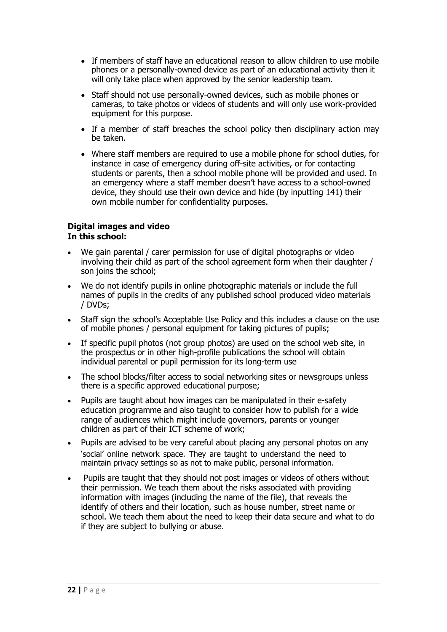- If members of staff have an educational reason to allow children to use mobile phones or a personally-owned device as part of an educational activity then it will only take place when approved by the senior leadership team.
- Staff should not use personally-owned devices, such as mobile phones or cameras, to take photos or videos of students and will only use work-provided equipment for this purpose.
- If a member of staff breaches the school policy then disciplinary action may be taken.
- Where staff members are required to use a mobile phone for school duties, for instance in case of emergency during off-site activities, or for contacting students or parents, then a school mobile phone will be provided and used. In an emergency where a staff member doesn't have access to a school-owned device, they should use their own device and hide (by inputting 141) their own mobile number for confidentiality purposes.

#### **Digital images and video In this school:**

- We gain parental / carer permission for use of digital photographs or video involving their child as part of the school agreement form when their daughter / son joins the school;
- We do not identify pupils in online photographic materials or include the full names of pupils in the credits of any published school produced video materials / DVDs;
- Staff sign the school's Acceptable Use Policy and this includes a clause on the use of mobile phones / personal equipment for taking pictures of pupils;
- If specific pupil photos (not group photos) are used on the school web site, in the prospectus or in other high-profile publications the school will obtain individual parental or pupil permission for its long-term use
- The school blocks/filter access to social networking sites or newsgroups unless there is a specific approved educational purpose;
- Pupils are taught about how images can be manipulated in their e-safety education programme and also taught to consider how to publish for a wide range of audiences which might include governors, parents or younger children as part of their ICT scheme of work;
- Pupils are advised to be very careful about placing any personal photos on any 'social' online network space. They are taught to understand the need to maintain privacy settings so as not to make public, personal information.
- Pupils are taught that they should not post images or videos of others without their permission. We teach them about the risks associated with providing information with images (including the name of the file), that reveals the identify of others and their location, such as house number, street name or school. We teach them about the need to keep their data secure and what to do if they are subject to bullying or abuse.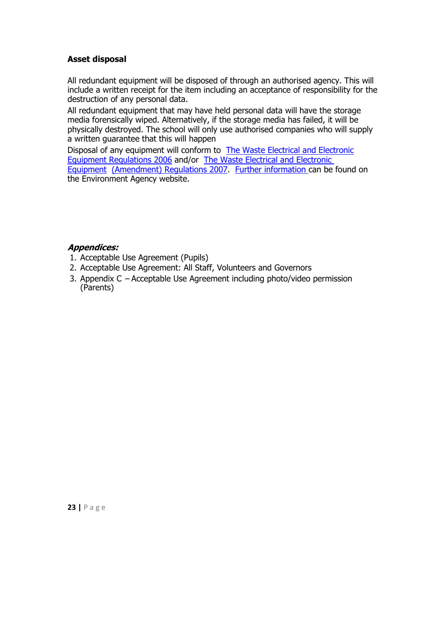#### **Asset disposal**

All redundant equipment will be disposed of through an authorised agency. This will include a written receipt for the item including an acceptance of responsibility for the destruction of any personal data.

All redundant equipment that may have held personal data will have the storage media forensically wiped. Alternatively, if the storage media has failed, it will be physically destroyed. The school will only use authorised companies who will supply a written guarantee that this will happen

Disposal of any equipment will conform to [The Waste Electrical and Electronic](http://www.legislation.gov.uk/uksi/2006/3289/pdfs/uksi_20063289_en.pdf) [Equipment Regulations 2006](http://www.legislation.gov.uk/uksi/2006/3289/pdfs/uksi_20063289_en.pdf) and/or [The Waste Electrical and Electronic](http://www.legislation.gov.uk/uksi/2007/3454/pdfs/uksi_20073454_en.pdf)  [Equipment](http://www.legislation.gov.uk/uksi/2007/3454/pdfs/uksi_20073454_en.pdf) [\(Amendment\) Regulations 2007](http://www.legislation.gov.uk/uksi/2007/3454/pdfs/uksi_20073454_en.pdf). [Further information](http://www.environment-agency.gov.uk/business/topics/waste/32084.aspx) can be found on the Environment Agency website.

#### **Appendices:**

- 1. Acceptable Use Agreement (Pupils)
- 2. Acceptable Use Agreement: All Staff, Volunteers and Governors
- 3. Appendix C Acceptable Use Agreement including photo/video permission (Parents)

**23 |** P a g e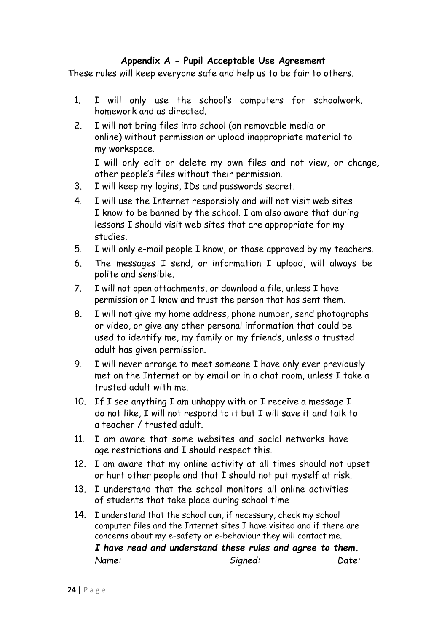# **Appendix A - Pupil Acceptable Use Agreement**

These rules will keep everyone safe and help us to be fair to others.

- 1. I will only use the school's computers for schoolwork, homework and as directed.
- 2. I will not bring files into school (on removable media or online) without permission or upload inappropriate material to my workspace.

I will only edit or delete my own files and not view, or change, other people's files without their permission.

- 3. I will keep my logins, IDs and passwords secret.
- 4. I will use the Internet responsibly and will not visit web sites I know to be banned by the school. I am also aware that during lessons I should visit web sites that are appropriate for my studies.
- 5. I will only e-mail people I know, or those approved by my teachers.
- 6. The messages I send, or information I upload, will always be polite and sensible.
- 7. I will not open attachments, or download a file, unless I have permission or I know and trust the person that has sent them.
- 8. I will not give my home address, phone number, send photographs or video, or give any other personal information that could be used to identify me, my family or my friends, unless a trusted adult has given permission.
- 9. I will never arrange to meet someone I have only ever previously met on the Internet or by email or in a chat room, unless I take a trusted adult with me.
- 10. If I see anything I am unhappy with or I receive a message I do not like, I will not respond to it but I will save it and talk to a teacher / trusted adult.
- 11. I am aware that some websites and social networks have age restrictions and I should respect this.
- 12. I am aware that my online activity at all times should not upset or hurt other people and that I should not put myself at risk.
- 13. I understand that the school monitors all online activities of students that take place during school time
- 14. I understand that the school can, if necessary, check my school computer files and the Internet sites I have visited and if there are concerns about my e-safety or e-behaviour they will contact me.

*I have read and understand these rules and agree to them. Name: Signed: Date:*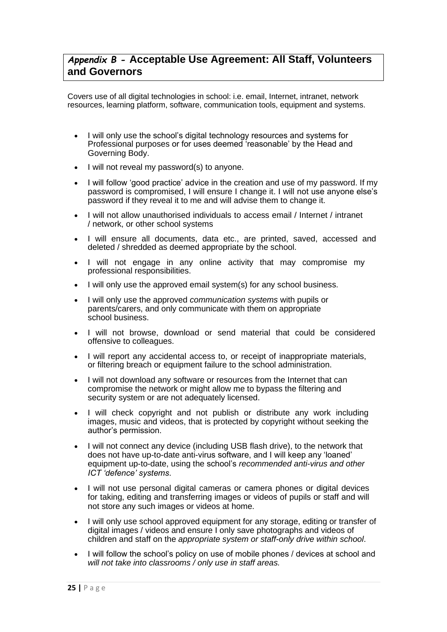# *Appendix B -* **Acceptable Use Agreement: All Staff, Volunteers and Governors**

Covers use of all digital technologies in school: i.e. email, Internet, intranet, network resources, learning platform, software, communication tools, equipment and systems.

- I will only use the school's digital technology resources and systems for Professional purposes or for uses deemed 'reasonable' by the Head and Governing Body.
- I will not reveal my password(s) to anyone.
- I will follow 'good practice' advice in the creation and use of my password. If my password is compromised, I will ensure I change it. I will not use anyone else's password if they reveal it to me and will advise them to change it.
- I will not allow unauthorised individuals to access email / Internet / intranet / network, or other school systems
- I will ensure all documents, data etc., are printed, saved, accessed and deleted / shredded as deemed appropriate by the school.
- I will not engage in any online activity that may compromise my professional responsibilities.
- I will only use the approved email system(s) for any school business.
- I will only use the approved *communication systems* with pupils or parents/carers, and only communicate with them on appropriate school business.
- I will not browse, download or send material that could be considered offensive to colleagues.
- I will report any accidental access to, or receipt of inappropriate materials, or filtering breach or equipment failure to the school administration.
- I will not download any software or resources from the Internet that can compromise the network or might allow me to bypass the filtering and security system or are not adequately licensed.
- I will check copyright and not publish or distribute any work including images, music and videos, that is protected by copyright without seeking the author's permission.
- I will not connect any device (including USB flash drive), to the network that does not have up-to-date anti-virus software, and I will keep any 'loaned' equipment up-to-date, using the school's *recommended anti-virus and other ICT 'defence' systems*.
- I will not use personal digital cameras or camera phones or digital devices for taking, editing and transferring images or videos of pupils or staff and will not store any such images or videos at home.
- I will only use school approved equipment for any storage, editing or transfer of digital images / videos and ensure I only save photographs and videos of children and staff on the *appropriate system or staff-only drive within school*.
- I will follow the school's policy on use of mobile phones / devices at school and *will not take into classrooms / only use in staff areas.*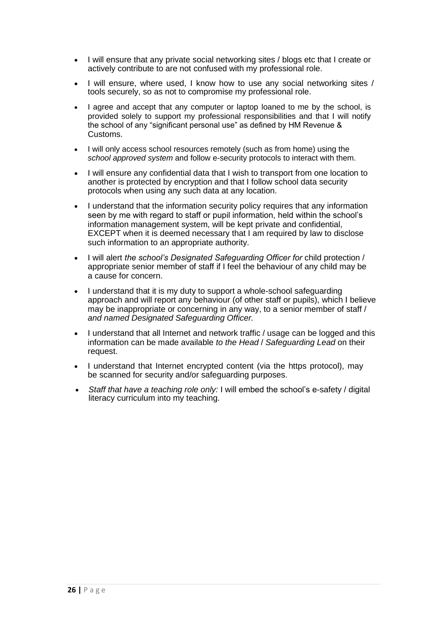- I will ensure that any private social networking sites / blogs etc that I create or actively contribute to are not confused with my professional role.
- I will ensure, where used, I know how to use any social networking sites / tools securely, so as not to compromise my professional role.
- I agree and accept that any computer or laptop loaned to me by the school, is provided solely to support my professional responsibilities and that I will notify the school of any "significant personal use" as defined by HM Revenue & Customs.
- I will only access school resources remotely (such as from home) using the *school approved system* and follow e-security protocols to interact with them.
- I will ensure any confidential data that I wish to transport from one location to another is protected by encryption and that I follow school data security protocols when using any such data at any location.
- I understand that the information security policy requires that any information seen by me with regard to staff or pupil information, held within the school's information management system, will be kept private and confidential, EXCEPT when it is deemed necessary that I am required by law to disclose such information to an appropriate authority.
- I will alert *the school's Designated Safeguarding Officer for* child protection / appropriate senior member of staff if I feel the behaviour of any child may be a cause for concern.
- I understand that it is my duty to support a whole-school safeguarding approach and will report any behaviour (of other staff or pupils), which I believe may be inappropriate or concerning in any way, to a senior member of staff / *and named Designated Safeguarding Officer.*
- I understand that all Internet and network traffic / usage can be logged and this information can be made available *to the Head* / *Safeguarding Lead* on their request.
- I understand that Internet encrypted content (via the https protocol), may be scanned for security and/or safeguarding purposes.
- *Staff that have a teaching role only:* I will embed the school's e-safety / digital literacy curriculum into my teaching.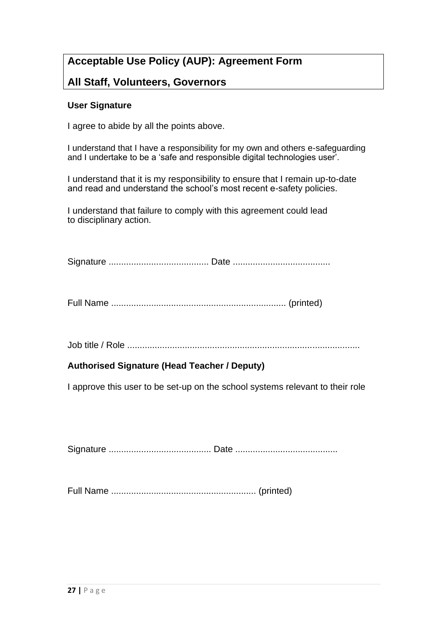# **Acceptable Use Policy (AUP): Agreement Form**

# **All Staff, Volunteers, Governors**

#### **User Signature**

I agree to abide by all the points above.

I understand that I have a responsibility for my own and others e-safeguarding and I undertake to be a 'safe and responsible digital technologies user'.

I understand that it is my responsibility to ensure that I remain up-to-date and read and understand the school's most recent e-safety policies.

I understand that failure to comply with this agreement could lead to disciplinary action.

Signature ........................................ Date .......................................

Full Name ...................................................................... (printed)

Job title / Role .............................................................................................

# **Authorised Signature (Head Teacher / Deputy)**

I approve this user to be set-up on the school systems relevant to their role

Signature ......................................... Date .........................................

Full Name .......................................................... (printed)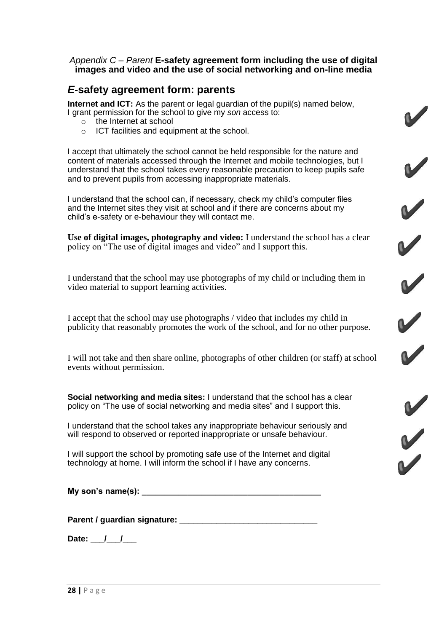#### *Appendix C – Parent* **E-safety agreement form including the use of digital images and video and the use of social networking and on-line media**

# *E***-safety agreement form: parents**

**Internet and ICT:** As the parent or legal guardian of the pupil(s) named below, I grant permission for the school to give my *son* access to:

- o the Internet at school
- o ICT facilities and equipment at the school.

I accept that ultimately the school cannot be held responsible for the nature and content of materials accessed through the Internet and mobile technologies, but I understand that the school takes every reasonable precaution to keep pupils safe and to prevent pupils from accessing inappropriate materials.

I understand that the school can, if necessary, check my child's computer files and the Internet sites they visit at school and if there are concerns about my child's e-safety or e-behaviour they will contact me.

**Use of digital images, photography and video:** I understand the school has a clear policy on "The use of digital images and video" and I support this.

RRRRRR

RR

I understand that the school may use photographs of my child or including them in video material to support learning activities.

I accept that the school may use photographs / video that includes my child in publicity that reasonably promotes the work of the school, and for no other purpose.

I will not take and then share online, photographs of other children (or staff) at school events without permission.

**Social networking and media sites:** I understand that the school has a clear policy on "The use of social networking and media sites" and I support this.

I understand that the school takes any inappropriate behaviour seriously and will respond to observed or reported inappropriate or unsafe behaviour.

I will support the school by promoting safe use of the Internet and digital technology at home. I will inform the school if I have any concerns.

**My son's name(s): \_\_\_\_\_\_\_\_\_\_\_\_\_\_\_\_\_\_\_\_\_\_\_\_\_\_\_\_\_\_\_\_\_\_\_\_\_\_\_**

**Parent / guardian signature: \_\_\_\_\_\_\_\_\_\_\_\_\_\_\_\_\_\_\_\_\_\_\_\_\_\_\_\_\_\_**

Date: / /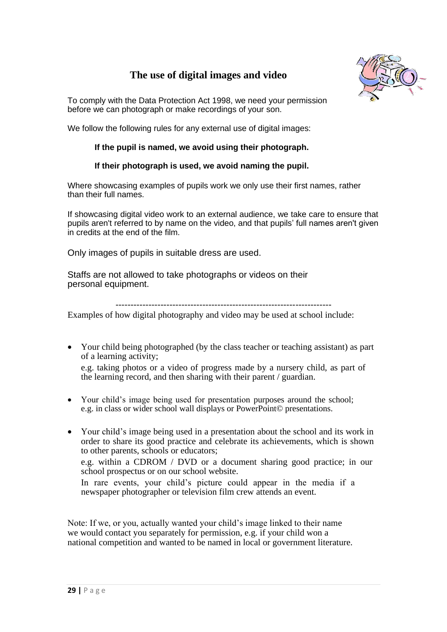# **The use of digital images and video**



To comply with the Data Protection Act 1998, we need your permission before we can photograph or make recordings of your son.

We follow the following rules for any external use of digital images:

#### **If the pupil is named, we avoid using their photograph.**

#### **If their photograph is used, we avoid naming the pupil.**

Where showcasing examples of pupils work we only use their first names, rather than their full names.

If showcasing digital video work to an external audience, we take care to ensure that pupils aren't referred to by name on the video, and that pupils' full names aren't given in credits at the end of the film.

Only images of pupils in suitable dress are used.

Staffs are not allowed to take photographs or videos on their personal equipment.

------------------------------------------------------------------------

Examples of how digital photography and video may be used at school include:

• Your child being photographed (by the class teacher or teaching assistant) as part of a learning activity;

e.g. taking photos or a video of progress made by a nursery child, as part of the learning record, and then sharing with their parent / guardian.

- Your child's image being used for presentation purposes around the school; e.g. in class or wider school wall displays or PowerPoint© presentations.
- Your child's image being used in a presentation about the school and its work in order to share its good practice and celebrate its achievements, which is shown to other parents, schools or educators;

e.g. within a CDROM / DVD or a document sharing good practice; in our school prospectus or on our school website.

In rare events, your child's picture could appear in the media if a newspaper photographer or television film crew attends an event.

Note: If we, or you, actually wanted your child's image linked to their name we would contact you separately for permission, e.g. if your child won a national competition and wanted to be named in local or government literature.